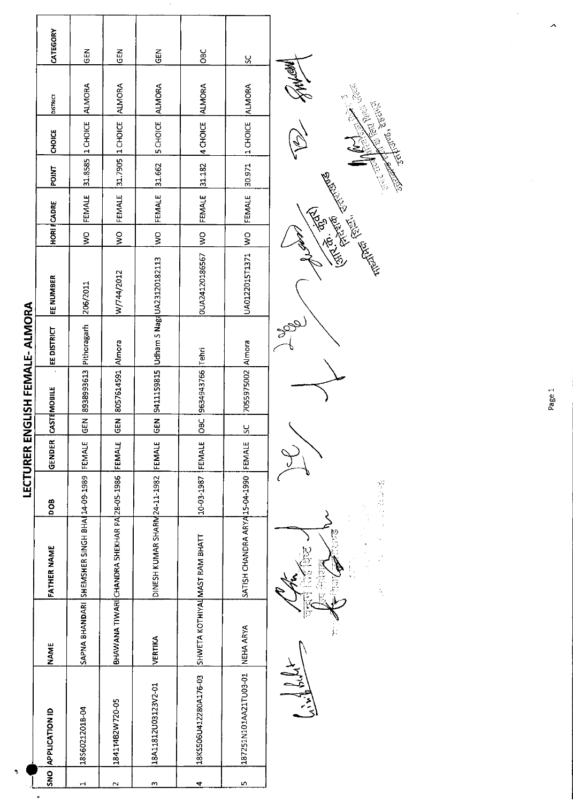|        |                       |             |                                                     |            | <b>LECTURER EN</b> |                        |                        | GLISH FEMALE-ALMORA |                                                                                                                                                                                                                                      |               |                    |              |                 |                                                                                         |               |  |
|--------|-----------------------|-------------|-----------------------------------------------------|------------|--------------------|------------------------|------------------------|---------------------|--------------------------------------------------------------------------------------------------------------------------------------------------------------------------------------------------------------------------------------|---------------|--------------------|--------------|-----------------|-----------------------------------------------------------------------------------------|---------------|--|
|        | SNO APPLICATION ID    | <b>NAME</b> | <b>FATHER NAME</b>                                  | DOB        | GENDER             |                        | CASTEMOBILE            | EE DISTRICT         | EE NUMBER                                                                                                                                                                                                                            |               | <b>HORI FCADRE</b> | <b>POINT</b> | CHOICE          | <b>DISTRICT</b>                                                                         | CATEGORY      |  |
| 4      | 1856021201B-04        |             | SAPNA BHANDARI SHEMSHER SINGH BHAI 14-09-1989       |            | FEMALE             | <b>GEN</b>             | 8938993613 Pithoragarh |                     | 206/2011                                                                                                                                                                                                                             | $\frac{1}{2}$ | FEMALE             | 31.8585      | 1 CHOICE        | <b>ALMORA</b>                                                                           | $rac{2}{5}$   |  |
| $\sim$ | 1841T4B2W720-05       |             | BHAWANA TIWARI CHANDRA SHEKHAR PA 28-05-1986 FEMALE |            |                    | GEN                    | 8057614591 Almora      |                     | W/744/2012                                                                                                                                                                                                                           | $\frac{1}{2}$ | FEMALE             | 317905       | 1 CHOICE        | <b>AIMORA</b>                                                                           | こと<br>この      |  |
| m      | 18A11812U03123V2-01   | VERTIKA     | DINESH KUMAR SHARM24-11-1982                        |            | FEMALE             | GEN <sup>I</sup>       |                        |                     | 9411159815 Udham S NagdUA23120182113                                                                                                                                                                                                 | $\frac{1}{3}$ | FEMALE             | 31.662       | 5 CHOICE        | ALMORA                                                                                  | $\frac{2}{9}$ |  |
| ⇆      | 18KS506U412280A176-03 |             | SHWETA KOTHIYAL MAST RAM BHATT                      | 10-03-1987 | FEMALE             | $rac{1}{\sigma}$       | 9634943766 Tehri       |                     | 0UA24120186567                                                                                                                                                                                                                       | $\frac{1}{3}$ | FEMALE             | 31.182       | 4 CHOICE        | <b>ALMORA</b>                                                                           | <b>OBC</b>    |  |
| n      | 187251N101AA21TU03-01 | NEHA ARYA   | SATISH CHANDRA ARYA15-04-1990  FEMALE               |            |                    | $\overline{\text{sc}}$ | 7055975002   Almora    |                     | UA0122015T1371                                                                                                                                                                                                                       | $rac{1}{2}$   | FEMALE             | 30.971       | 1 CHOICE ALMORA |                                                                                         | χ             |  |
|        |                       |             |                                                     |            |                    |                        |                        | Jap                 |                                                                                                                                                                                                                                      |               |                    |              |                 |                                                                                         |               |  |
|        |                       |             | $\frac{1}{2}$                                       | 感染症        |                    |                        |                        |                     | <b>Highland Report of the Property Report of the Property Report of the Property Report of the Property Report of the Property Report of the Property Report of the Property Report of the Property Report of the Property Repor</b> |               |                    |              |                 | Control Control Control Control Control Control Control Control Control Control Control |               |  |

 $\hat{\boldsymbol{\gamma}}$ 

 $\ddot{\phantom{0}}$ 

Page 1

 $\lambda$ 

 $\hat{\boldsymbol{\beta}}$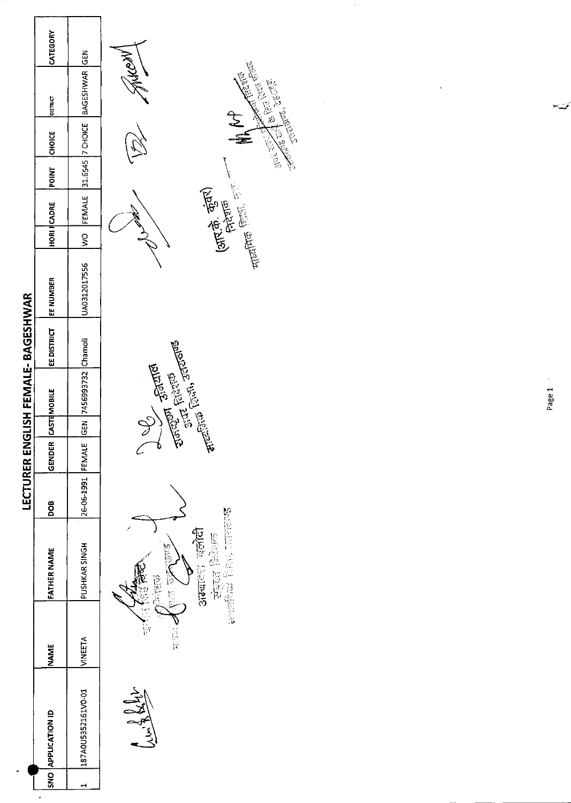|                                    | CATEGORY              |                        |                                                                                                                                                                                                                                                                                                                                                                                                                                                                                                      |
|------------------------------------|-----------------------|------------------------|------------------------------------------------------------------------------------------------------------------------------------------------------------------------------------------------------------------------------------------------------------------------------------------------------------------------------------------------------------------------------------------------------------------------------------------------------------------------------------------------------|
|                                    | <b>PISTRICT</b>       | BAGESHWAR GEN          | MEDNY<br>Sent de la Prince de la Company de la Company de la Company de la Company de la Company de la Company de la Co<br>Company de la Company de la Company de la Company de la Company de la Company de la Company de la Company de l<br>                                                                                                                                                                                                                                                        |
|                                    | <b>CHOICE</b>         | 31.6545 7 CHOICE       | th At                                                                                                                                                                                                                                                                                                                                                                                                                                                                                                |
|                                    | <b>POINT</b>          |                        |                                                                                                                                                                                                                                                                                                                                                                                                                                                                                                      |
|                                    | <b>HORI FCADRE</b>    | FEMALE                 | $\frac{1}{\text{supp}(\text{Re}(\mathcal{X}_1))} \cdot \frac{1}{\text{Re}(\mathcal{X}_1)} \cdot \frac{1}{\text{Re}(\mathcal{X}_1)} \cdot \frac{1}{\text{Re}(\mathcal{X}_1)} \cdot \frac{1}{\text{Re}(\mathcal{X}_1)} \cdot \frac{1}{\text{Re}(\mathcal{X}_1)} \cdot \frac{1}{\text{Re}(\mathcal{X}_1)} \cdot \frac{1}{\text{Re}(\mathcal{X}_1)} \cdot \frac{1}{\text{Re}(\mathcal{X}_1)} \cdot \frac{1}{\text{Re}(\mathcal{X}_1)} \cdot \frac{1}{\text{Re}(\mathcal$<br>(आर.के. कुंतर)<br>सिराक<br>M |
|                                    |                       | $\frac{8}{2}$          | $\mathcal{F}$                                                                                                                                                                                                                                                                                                                                                                                                                                                                                        |
|                                    | EE NUMBER             | UA0312017556           |                                                                                                                                                                                                                                                                                                                                                                                                                                                                                                      |
| LECTURER ENGLISH FEMALE- BAGESHWAR | EE DISTRICT           |                        |                                                                                                                                                                                                                                                                                                                                                                                                                                                                                                      |
|                                    | CASTEMOBILE           | GEN 7456993732 Chamoli | $\frac{1}{2\sqrt{2}}\sum_{\substack{1\leq i,j\leq n\\ (i,j)\neq (i,j)\neq (i,j)\neq (i,j)\neq (i,j)\neq (i,j)\neq (i,j)\neq (i,j)\neq (i,j)\neq (i,j)\neq (i,j)\neq (i,j)\neq (i,j)\neq (i,j)\neq (i,j)\neq (i,j)\neq (i,j)\neq (i,j)\neq (i,j)\neq (i,j)\neq (i,j)\neq (i,j)\neq (i,j)\neq (i,j)\neq (i,j)\neq (i,j)\neq (i,j)\neq (i,j)\neq (i,j)\neq (i,j)\neq (i,j)\neq (i,j)\ne$                                                                                                                |
|                                    |                       |                        |                                                                                                                                                                                                                                                                                                                                                                                                                                                                                                      |
|                                    | GENDER                | FEMALE                 |                                                                                                                                                                                                                                                                                                                                                                                                                                                                                                      |
|                                    | DOB                   | 26-06-1991             |                                                                                                                                                                                                                                                                                                                                                                                                                                                                                                      |
|                                    | FATHER NAME           | PUSHKAR SINGH          | <b>原本的工作、全部、技术的学习</b><br>ालोदी<br><b>PARK 2007</b><br>कुछ<br>द<br><b>Sidewick</b><br>ie<br>Cryster<br>C                                                                                                                                                                                                                                                                                                                                                                                              |
|                                    | <b>NAME</b>           | <b>VINEETA</b>         | - 2<br>三〇<br> 平<br>i<br>Vi                                                                                                                                                                                                                                                                                                                                                                                                                                                                           |
|                                    | <b>APPLICATION ID</b> | 187A0U5352161VO-01     | Jun 8 Sept                                                                                                                                                                                                                                                                                                                                                                                                                                                                                           |
|                                    | SND <sup>1</sup>      | H                      |                                                                                                                                                                                                                                                                                                                                                                                                                                                                                                      |
|                                    |                       |                        |                                                                                                                                                                                                                                                                                                                                                                                                                                                                                                      |

تمست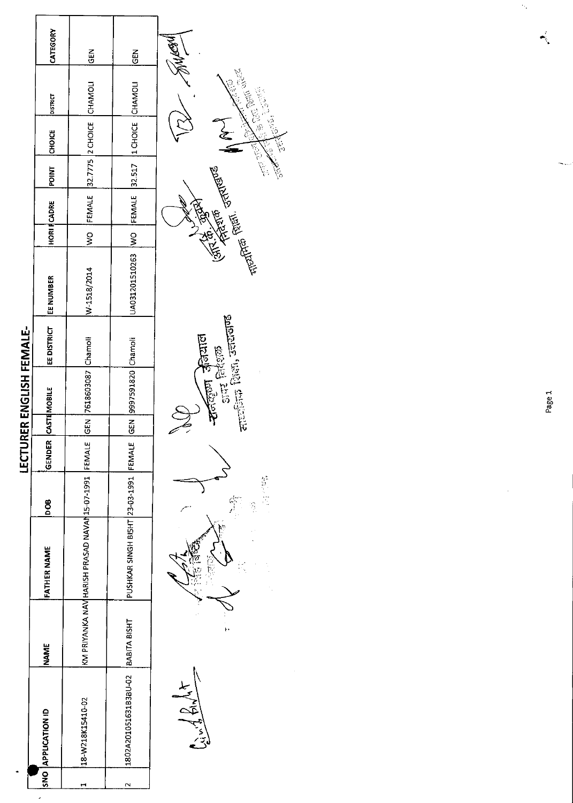|                                     |             |                                                         |            | LECTU  |            | RER ENGLISH FEMALE-     |                         |                                                   |        |                    |              |                                 |             |  |
|-------------------------------------|-------------|---------------------------------------------------------|------------|--------|------------|-------------------------|-------------------------|---------------------------------------------------|--------|--------------------|--------------|---------------------------------|-------------|--|
| SNO APPLICATION ID                  | <b>NAME</b> | <b>FATHER NAME</b>                                      | <b>800</b> | GENDER |            | CASTEMOBILE             | EE DISTRICT   EE NUMBER |                                                   |        | <b>HORI FCADRE</b> | POINT CHOICE | DISTRICT                        | CATEGORY    |  |
| 18-W218K15410-02                    |             | KM PRIYANKA NAV HARISH PRASAD NAVAN 15-07-1991   FEMALE |            |        | <b>SEN</b> | 7618603087 Chamoli      |                         | W-1518/2014                                       | ।<br>२ |                    |              | FEMALE 32.7775 2 CHOICE CHAMOLI | <b>IGEN</b> |  |
| 1802A201051631B3BU-02  BABITA BISHT |             | PUSHKAR SINGH BISHT 23-03-1991 FEMALE                   |            |        |            | GEN [9997591820 Chamoli |                         | UA031201510263 WO FEMALE 32.517 11 CHOICE CHAMOLI |        |                    |              |                                 | <b>IGEN</b> |  |
|                                     |             |                                                         |            |        |            |                         |                         |                                                   |        |                    |              |                                 |             |  |



Page 1

 $\ddot{\phi}$ 

₹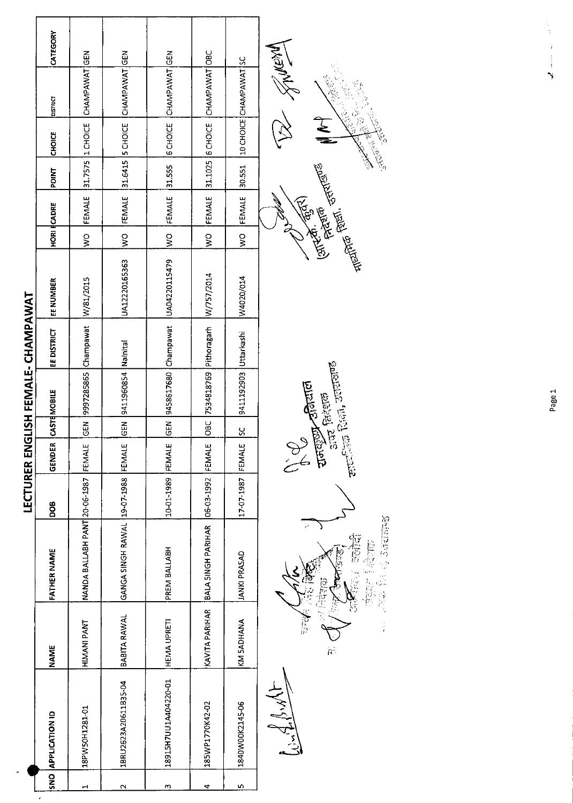|        |                      |              |                                                     | <b>LECTURER EN</b> |        |            | GLISH FEMALE-CHAMPAWAT     |             |                                          |               |                    |              |                      |                                       |          |
|--------|----------------------|--------------|-----------------------------------------------------|--------------------|--------|------------|----------------------------|-------------|------------------------------------------|---------------|--------------------|--------------|----------------------|---------------------------------------|----------|
|        | SNO APPLICATION ID   | <b>NAME</b>  | <b>FATHER NAME</b>                                  | <b>BOO</b>         | GENDER |            | CASTEMOBILE                | EE DISTRICT | EE NUMBER                                |               | <b>HORI FCADRE</b> | <b>LNIOd</b> | <b>CHOICE</b>        | <b>DISTRICT</b>                       | CATEGORY |
| ᆏ      | 18PW50H1281-01       | HIMANI PANT  | NANDA BALLABH PANT 20-06-1987 FEMALE                |                    |        | <b>GEN</b> | 9997285865 Champawat       |             | W/81/2015                                | $\frac{8}{5}$ | FEMALE             |              | $31.7575$ $1$ CHOICE | CHAMPAWAT GEN                         |          |
| $\sim$ | 1BRU2623A20611B35-04 | BABITA RAWAL | GANGA SINGH RAWAL 129-07-1988 FEMALE                |                    |        |            | GEN 9411960854 Nainital    |             | UA12220165363                            | $\frac{1}{2}$ | FEMALE             |              |                      | 31.6415   5 CHOICE   CHAMPAWAT GEN    |          |
| m      | 18915H7UU1A404220-01 | HEMA UPRETI  | PREM BALLABH                                        | 10-01-1989 FEMALE  |        |            |                            |             | GEN 9458617680 Champawat   UA04220115479 | $\frac{1}{2}$ | FEMALE 31.555      |              |                      | 6 CHOICE CHAMPAWAT                    |          |
| 4      | 185WP1770K42-02      |              | KAVITA PARIHAR BALA SINGH PARIHAR 06-03-1992 FEMALE |                    |        |            | OBC 7534818769 Pithoragarh |             | W/757/2014                               | $\geq$        |                    |              |                      | FEMALE 31.1025 6 CHOICE CHAMPAWAT OBC |          |
| m      | 1840W00K2145-06      | KM SADHANA   | <b>JANKI PRASAD</b>                                 | 17-07-1987 FEMALE  |        | <u>ss</u>  | 9411192903 Uttarkashi      |             | W4020/014                                | $\frac{1}{2}$ | FEMALE             | 30.551       |                      | 10 CHOICE CHAMPAWAT SC                |          |
|        | Watchest             |              |                                                     |                    | ٩      |            | م<br>مراجع                 |             |                                          |               | 1602)              |              |                      | <b>Wearth Co</b>                      |          |



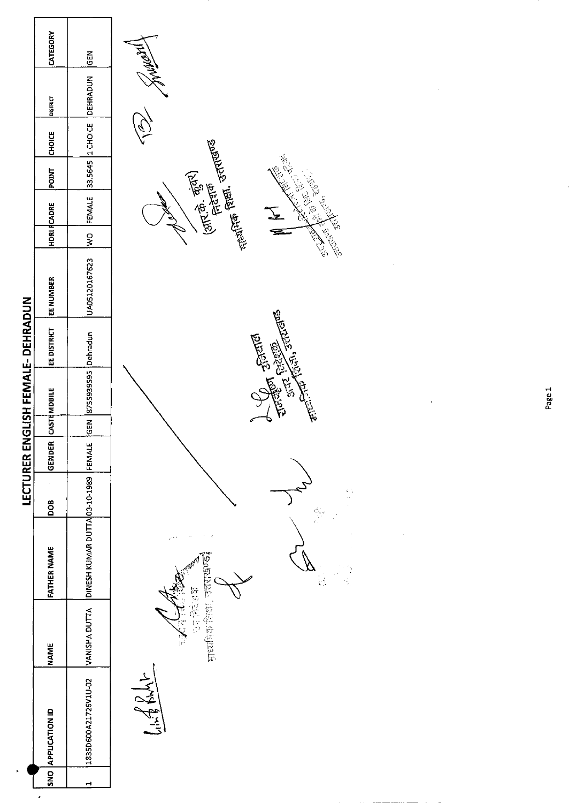|                                          | CATEGORY              | <b>GEN</b>                    |                                                                                                                                                                                                                                                                                                                                                     |
|------------------------------------------|-----------------------|-------------------------------|-----------------------------------------------------------------------------------------------------------------------------------------------------------------------------------------------------------------------------------------------------------------------------------------------------------------------------------------------------|
|                                          | pistract              | <b>DEHRADUN</b>               |                                                                                                                                                                                                                                                                                                                                                     |
|                                          | <b>CHOICE</b>         | 1 CHOICE                      |                                                                                                                                                                                                                                                                                                                                                     |
|                                          | <b>POINT</b>          | 33.5645                       | $\begin{picture}(120,15) \put(0,0){\line(1,0){15}} \put(15,0){\line(1,0){15}} \put(15,0){\line(1,0){15}} \put(15,0){\line(1,0){15}} \put(15,0){\line(1,0){15}} \put(15,0){\line(1,0){15}} \put(15,0){\line(1,0){15}} \put(15,0){\line(1,0){15}} \put(15,0){\line(1,0){15}} \put(15,0){\line(1,0){15}} \put(15,0){\line(1,0){15}} \put(15,0){\line($ |
|                                          | <b>HDRI FCADRE</b>    | FEMALE                        | $(3\pi^2\hat{\Phi}, \frac{\vec{\sigma}_5}{2})$<br>Frato Frato Haves<br>All School Report<br>N<br>E                                                                                                                                                                                                                                                  |
|                                          |                       | $\frac{8}{2}$                 |                                                                                                                                                                                                                                                                                                                                                     |
|                                          | <b>EE NUMBER</b>      | UA05120167623                 |                                                                                                                                                                                                                                                                                                                                                     |
| <b>LECTURER ENGLISH FEMALE- DEHRADUN</b> | EEDISTRICT            |                               | anten francisco de Caracce                                                                                                                                                                                                                                                                                                                          |
|                                          | CASTEMDBILE           | GEN 8755939595 Dehradun       | <b>Company of Straits</b>                                                                                                                                                                                                                                                                                                                           |
|                                          |                       |                               |                                                                                                                                                                                                                                                                                                                                                     |
|                                          | GENDER                | FEMALE                        |                                                                                                                                                                                                                                                                                                                                                     |
|                                          | DOB                   |                               | $\sum_{i=1}^{n}$<br>ğ.                                                                                                                                                                                                                                                                                                                              |
|                                          | <b>FATHER NAME</b>    | DINESH KUMAR DUTTA 03-10-1989 | <b>DORTAIN</b><br>Ñ,<br>ŀ.                                                                                                                                                                                                                                                                                                                          |
|                                          | <b>NAME</b>           | VANISHA DUTTA                 | 協力化 150<br>中区的平衡部<br>n.<br>V<br>壽                                                                                                                                                                                                                                                                                                                   |
|                                          | <b>APPLICATION ID</b> | 1835D600A21726V1U-02          | $183 - 11$                                                                                                                                                                                                                                                                                                                                          |
| $\sim$                                   | SNO                   | $\blacktriangleleft$          |                                                                                                                                                                                                                                                                                                                                                     |
|                                          |                       |                               |                                                                                                                                                                                                                                                                                                                                                     |

Ţ

Page 1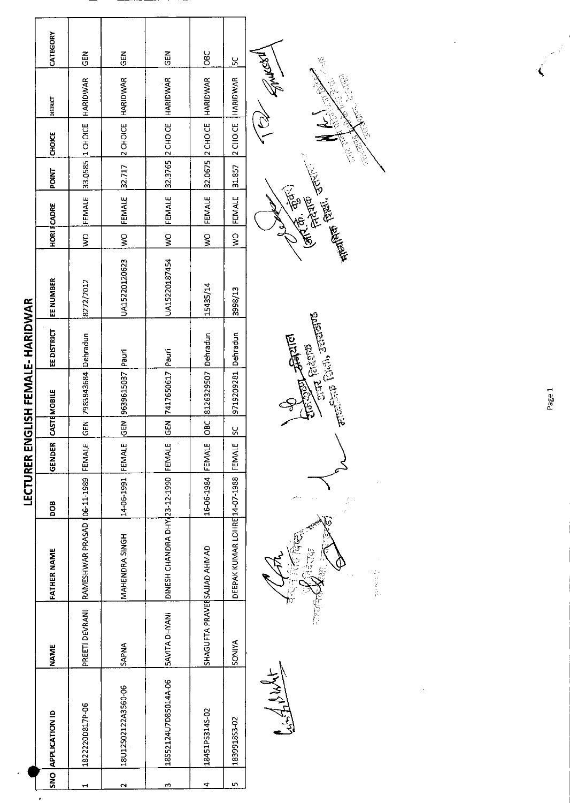|                                          | CATEGORY              | $rac{1}{\sqrt{2}}$                  | <b>GEN</b>           | GEN                                  | OBC                         | $\frac{5}{5}$                 | <b>NER</b><br>$\sum_{j=1}^{n-1}$                    |
|------------------------------------------|-----------------------|-------------------------------------|----------------------|--------------------------------------|-----------------------------|-------------------------------|-----------------------------------------------------|
|                                          | <b>DISTRICT</b>       | HARIDWAR                            | HARIDWAR             | <b>HARIDWAR</b>                      | <b>HARIDWAR</b>             | HARIDWAR                      | <b>READER</b>                                       |
|                                          | <b>CHOICE</b>         | 33.0585 1 CHOICE                    | 2 CHOICE             | 32.3765 2 CHOICE                     | 32.0675 2 CHOICE            | 2 CHOICE                      | <b>CONGRESS</b><br>ra<br>Va                         |
|                                          | <b>POINT</b>          |                                     | 32.717               |                                      |                             | 31.857                        |                                                     |
|                                          | <b>HORI FCADRE</b>    | FEMALE                              | FEMALE               | FEMALE                               | FEMALE                      | FEMALE                        | 書篇,於<br><b>Carl Carl Carl Carl Company</b><br>Preta |
|                                          |                       | $\frac{1}{2}$                       | $\sum_{i=1}^{n}$     | $\frac{1}{2}$                        | $\frac{1}{2}$               | $\frac{1}{2}$                 | لح                                                  |
|                                          | EE NUMBER             | 8272/2012                           | UA15220120623        | UA15220187454                        | 15435/14                    | 3998/13                       |                                                     |
| <b>LECTURER ENGLISH FEMALE- HARIDWAR</b> | <b>EE DISTRICT</b>    |                                     |                      |                                      |                             |                               | $\epsilon$ and $\epsilon$ (but), seeming<br>网络球     |
|                                          | CASTEMOBILE           | 7983843684 Dehradun                 | GEN 9639615037 Pauri | GEN 7417650617 Pauri                 | OBC 8126329507 Dehradun     | 9719209281 Dehradun           | $\frac{1}{2}$ and $\frac{1}{2}$                     |
|                                          |                       | GEN                                 |                      |                                      |                             | $\frac{8}{5}$                 |                                                     |
|                                          | <b>GENDER</b>         |                                     |                      |                                      | FEMALE                      | FEMALE                        |                                                     |
|                                          | BOQ                   |                                     | 14-06-1991 FEMALE    |                                      | 16-06-1984                  |                               | Š,                                                  |
|                                          | <b>FATHER NAME</b>    | RAMESHWAR PRASAD (06-11-1989 FEMALE | MAHENDRA SINGH       | DINESH CHANDRA DHY 23-12-1990 FEMALE |                             | DEEPAK KUMAR LOHRE 14-07-1988 | hý<br>CC<br>14. 医主要                                 |
|                                          | <b>NAME</b>           | PREETI DEVRANI                      | <b>APNA</b>          | <b>SAVITA DHYANI</b>                 | SHAGUFTA PRAVESSAJJAD AHMAD | <b>SONIYA</b>                 |                                                     |
|                                          | <b>APPLICATION ID</b> | 1822220D817P-06                     | 18U12S02122A3560-06  | 18552124U7D85014A-06                 | 18451PS3145-02              | 183991853-02                  | <b>Wind Ash</b>                                     |
|                                          | ONS                   | $\mathbf{H}$                        | $\mathbf{\tilde{c}}$ | m                                    | 4                           | m,                            |                                                     |

 $\left($ 

Page 1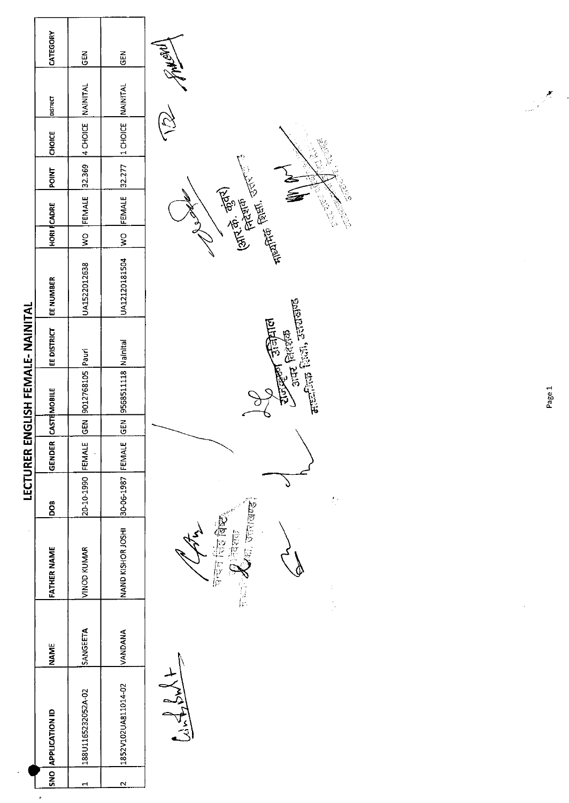|                                   | CATEGORY              | GEN                      | GEN                     | <b>PARTAN</b>                                                                                                               |        |
|-----------------------------------|-----------------------|--------------------------|-------------------------|-----------------------------------------------------------------------------------------------------------------------------|--------|
|                                   | bistract              | <b>NAINITAL</b>          |                         |                                                                                                                             |        |
|                                   | <b>CHOICE</b>         | 4 CHOICE                 | 1 CHOICE NAINITAL       |                                                                                                                             |        |
|                                   | <b>POINT</b>          | 32.369                   | 32.277                  | $\zeta^{(0)}$                                                                                                               |        |
|                                   | <b>HORI CADRE</b>     | FEMALE                   | FEMALE                  | <b>The Point of Section</b><br><b>Resident</b><br>(طالبة بي هِيَّتها)<br>(طالبة بي هِيَتها)<br>ふっこう<br><b>Collage River</b> |        |
|                                   |                       | $\frac{8}{3}$            | $\frac{1}{2}$           |                                                                                                                             |        |
|                                   | <b>EE NUMBER</b>      | UA1522012638             | UA12120181504           |                                                                                                                             |        |
| LECTURER ENGLISH FEMALE- NAINITAL | EE DISTRICT           |                          |                         | $\frac{1}{2}$ and $\frac{1}{2}$ and $\frac{1}{2}$ and $\frac{1}{2}$<br><b>Diditio</b><br>$\sin 2 \sin \pi$                  |        |
|                                   | CASTEMOBILE           | 9012768105 Pauri         | 9568511118 Nainital     |                                                                                                                             | Page 1 |
|                                   |                       | $rac{6}{5}$              | <b>GEN</b>              |                                                                                                                             |        |
|                                   | GENDER                | FEMALE                   | FEMALE                  |                                                                                                                             |        |
|                                   | <b>BOO</b>            | 20-10-1990               | 30-06-1987              | $\mathcal{L}$                                                                                                               |        |
|                                   | <b>FATHER NAME</b>    | VINOD KUMAR              | NAND KISHOR JOSHI       | <b>September (Bang)</b><br>德施布斯<br>7 दिशक<br><b>P</b>                                                                       |        |
|                                   | <b>NAME</b>           | SANGEETA                 | VANDANA                 |                                                                                                                             |        |
|                                   | <b>APPLICATION ID</b> | 188U1165232052A-02       | 1852V102UA811014-02     | $1\sqrt{3}$                                                                                                                 |        |
|                                   | $rac{1}{2}$           | $\overline{\phantom{0}}$ | $\overline{\mathbf{c}}$ |                                                                                                                             |        |

 $\cdot$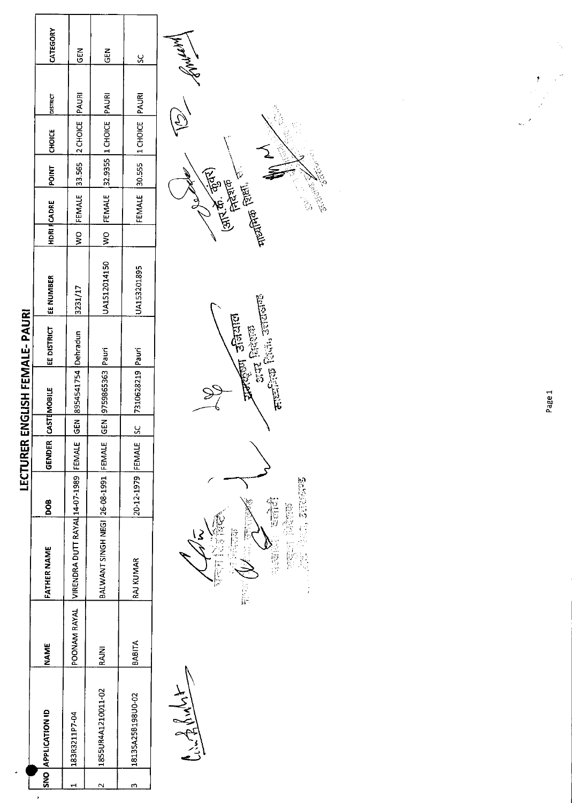|                      | CATEGORY              | GEN                            | GEN                           | X                 | <b>WARTHAM</b>                                                                                                                                                     |
|----------------------|-----------------------|--------------------------------|-------------------------------|-------------------|--------------------------------------------------------------------------------------------------------------------------------------------------------------------|
|                      | <b>DISTRICT</b>       | PAURI                          | PAURI                         | PAURI             |                                                                                                                                                                    |
|                      | CHOICE                | 2 CHOICE                       | 32.9355 1 CHOICE              | 1 CHOICE          |                                                                                                                                                                    |
|                      | <b>POINT</b>          | 33.565                         |                               | 30.555            | <b>12.65 - 13.65</b>                                                                                                                                               |
|                      | <b>HDRI</b> CADRE     | FEMALE                         | FEMALE                        | FEMALE            | (आर. के. कुंतर)<br>(आर. के. कुंतर)<br><b>ASSESSED</b><br>$\frac{1}{\sqrt{2}}\left( \frac{1}{\sqrt{2}}\right) ^{2}\left( \frac{1}{\sqrt{2}}\right) ^{2}$<br>e<br>Go |
|                      |                       | $\frac{1}{2}$                  | $\epsilon$                    |                   |                                                                                                                                                                    |
|                      | EE NUMBER             | 3231/17                        | UA1512014150                  | UA153201895       |                                                                                                                                                                    |
| ENGLISH FEMALE-PAURI | EE DISTRICT           | Dehradun                       | Pauri                         | Pauri             | <b>Antigual Science</b><br>Conta Grissina<br>Rusia Grissina Torrante                                                                                               |
|                      | CASTEMOBILE           | 8954541754                     | GEN 9759865363                | 7310628219        |                                                                                                                                                                    |
|                      |                       | $rac{5}{65}$                   |                               | $\infty$          |                                                                                                                                                                    |
| LECTURER             | GENDER                | FEMALE                         | FEMALE                        | FEMALE            |                                                                                                                                                                    |
|                      | Bod                   |                                |                               | 20-12-1979        | 等信                                                                                                                                                                 |
|                      | <b>FATHER NAME</b>    | VIRENDRA DUTT RAYAL 14-07-1989 | BALWANT SINGH NEGI 26-08-1991 | RAJ KUMAR         | ■ 地名美国格兰 医心血管炎<br>整数器 的图像<br>ê<br>心腹痛<br>$\widetilde{\widetilde{Y}}$<br>$\mathbb{C}$                                                                               |
|                      | <b>NAME</b>           | POONAM RAYAL                   | <b>RAJNI</b>                  | BABITA            | μ                                                                                                                                                                  |
|                      | <b>APPLICATION ID</b> | 183R3211P7-04                  | 1855UR4A1210011-02            | 18135A25B198U0-02 | Cinglisht                                                                                                                                                          |
|                      | <b>ONS</b>            | $\blacktriangleleft$           | $\sim$                        | $\sim$            |                                                                                                                                                                    |

 $\bar{\boldsymbol{\epsilon}}$ 

Page 1

.,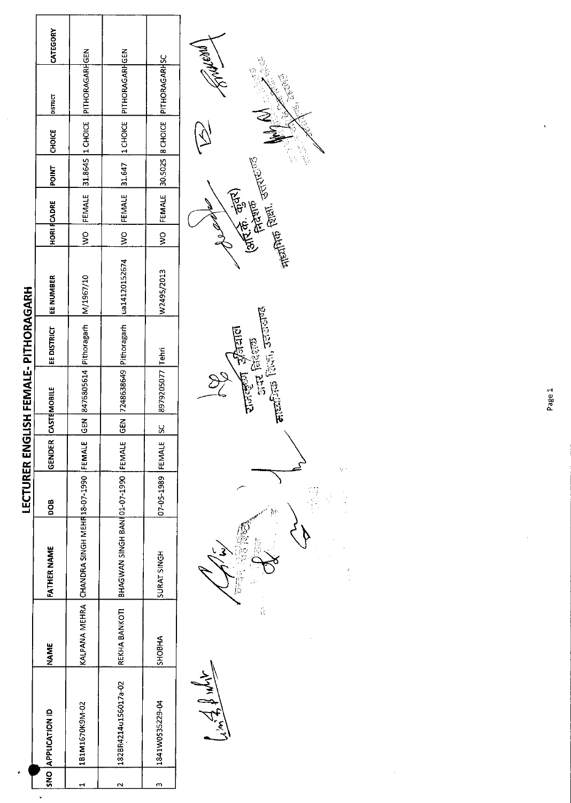|                      |        |                                                        |                   |               |             |                  | LECTURER ENGLISH FEMALE- PITHORAGARH   |                                        |   |             |       |               |                                           |          |
|----------------------|--------|--------------------------------------------------------|-------------------|---------------|-------------|------------------|----------------------------------------|----------------------------------------|---|-------------|-------|---------------|-------------------------------------------|----------|
| NO APPLICATION ID    | NAME   | FATHER NAME                                            | 800               | <b>GENDER</b> |             | CASTEMOBILE      | <b>EE DISTRICT</b>                     | <b>EE NUMBER</b>                       |   | HORI RCADRE | POINT | <b>CHOICE</b> | <b>DISTRICT</b>                           | CATEGORY |
| 181M1670K9M-02       |        | KALPANA MEHRA CHANDRA SINGH MEHR18-07-1990 FEMALE      |                   |               |             |                  | GEN 8476805614 Pithoragarh   M/1967/10 |                                        |   |             |       |               | WO FEMALE 31.8645 I CHOICE PITHORAGARHGEN |          |
| 182BR4214u156017a-02 |        | REKHA BANKOTI   BHAGWAN SINGH BANI 01-07-1990   FEMALE |                   |               | $rac{5}{6}$ |                  |                                        | 7248638649 Pithoragarh   ua14120152674 |   |             |       |               | WO FEMALE 31.647 1CHOICE PITHORAGARHGEN   |          |
| 1841W0535229-04      | SHOBHA | SURAT SINGH                                            | 07-05-1989 FEMALE |               | <u>ა</u>    | 8979205077 Tehri |                                        | W2495/2013                             | ş | FEMALE      |       |               | 30.5025 B CHOICE PITHORAGARHSC            |          |
|                      |        |                                                        |                   |               |             |                  |                                        |                                        |   |             |       |               |                                           |          |



Page 1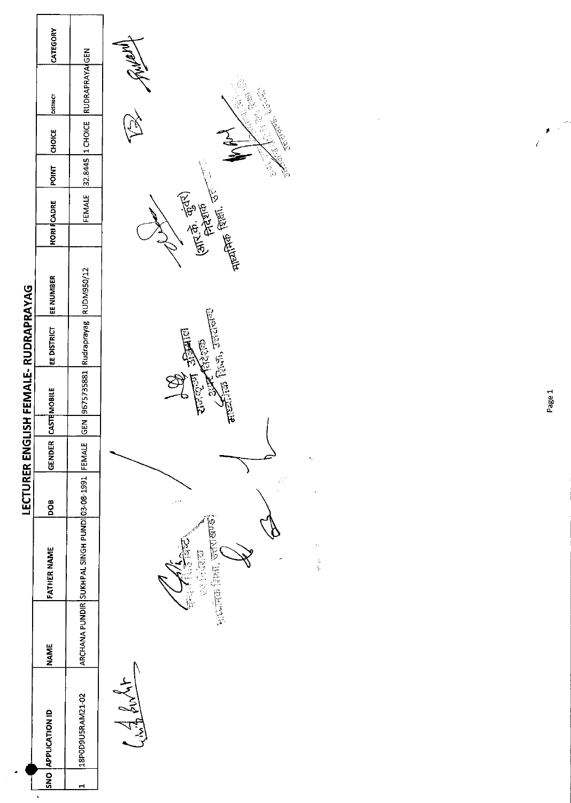|                    |                                                                                                                 | Turahist                                                                                                                                                                                                                                                                                                                                                                                                                                        |
|--------------------|-----------------------------------------------------------------------------------------------------------------|-------------------------------------------------------------------------------------------------------------------------------------------------------------------------------------------------------------------------------------------------------------------------------------------------------------------------------------------------------------------------------------------------------------------------------------------------|
|                    |                                                                                                                 |                                                                                                                                                                                                                                                                                                                                                                                                                                                 |
|                    |                                                                                                                 | JELLY BOOK<br>$\sum_{k=1}^{n}$<br>ANG PAS                                                                                                                                                                                                                                                                                                                                                                                                       |
| <b>POINT</b>       |                                                                                                                 | 1961                                                                                                                                                                                                                                                                                                                                                                                                                                            |
|                    | FEMALE                                                                                                          | $\frac{1}{\text{supp}(\mathbb{R}^n)}\cdot\frac{1}{\text{supp}(\mathbb{R}^n)}\cdot\frac{1}{\text{supp}(\mathbb{R}^n)}\cdot\frac{1}{\text{supp}(\mathbb{R}^n)}\cdot\frac{1}{\text{supp}(\mathbb{R}^n)}\cdot\frac{1}{\text{supp}(\mathbb{R}^n)}\cdot\frac{1}{\text{supp}(\mathbb{R}^n)}\cdot\frac{1}{\text{supp}(\mathbb{R}^n)}\cdot\frac{1}{\text{supp}(\mathbb{R}^n)}\cdot\frac{1}{\text{supp}(\mathbb{R}^n)}\cdot$<br>(आर.के. कुंतर)<br>सिद्धान |
|                    |                                                                                                                 |                                                                                                                                                                                                                                                                                                                                                                                                                                                 |
| EE NUMBER          |                                                                                                                 |                                                                                                                                                                                                                                                                                                                                                                                                                                                 |
| EE DISTRICT        |                                                                                                                 | enternation of the first state of the second state of the second state of the second state of the second state of the second state of the second state of the second state of the second state of the second state of the seco<br>原                                                                                                                                                                                                             |
|                    |                                                                                                                 | $\frac{1}{2}$ and $\frac{1}{2}$                                                                                                                                                                                                                                                                                                                                                                                                                 |
|                    |                                                                                                                 |                                                                                                                                                                                                                                                                                                                                                                                                                                                 |
| GENDER             | FEMALE                                                                                                          | ×,                                                                                                                                                                                                                                                                                                                                                                                                                                              |
|                    |                                                                                                                 | $\mathcal{E}_{\mathcal{A}}^{\mathcal{A}}$<br>من                                                                                                                                                                                                                                                                                                                                                                                                 |
| <b>FATHER NAME</b> |                                                                                                                 | नाखण्डः<br>$\epsilon_{\rm s}$<br>B<br>信度在空<br>中国<br>सुध्यत्तिक शिक्षा,                                                                                                                                                                                                                                                                                                                                                                          |
| <b>NAME</b>        |                                                                                                                 |                                                                                                                                                                                                                                                                                                                                                                                                                                                 |
|                    | 18P0D9U5RAM21-02                                                                                                | Civil Pult                                                                                                                                                                                                                                                                                                                                                                                                                                      |
| SNO<br>$\,$        | $\blacksquare$                                                                                                  |                                                                                                                                                                                                                                                                                                                                                                                                                                                 |
|                    | CATEGORY<br><b>pismer</b><br>CHOICE<br><b>HORI FCADRE</b><br>CASTEMOBILE<br><b>BOQ</b><br><b>APPLICATION ID</b> | RUDRAPRAYA GEN<br>32.8445 1 CHOICE<br>GEN 9675735881 Rudraprayag RUDM950/12<br>ARCHANA PUNDIR SUKHPAL SINGH PUNDI 03-08-1991                                                                                                                                                                                                                                                                                                                    |

Page 1

 $\frac{1}{\sqrt{2}}\left( \frac{1}{2}\right) ^{2}$ 

 $\mathbf{z}^{\prime}$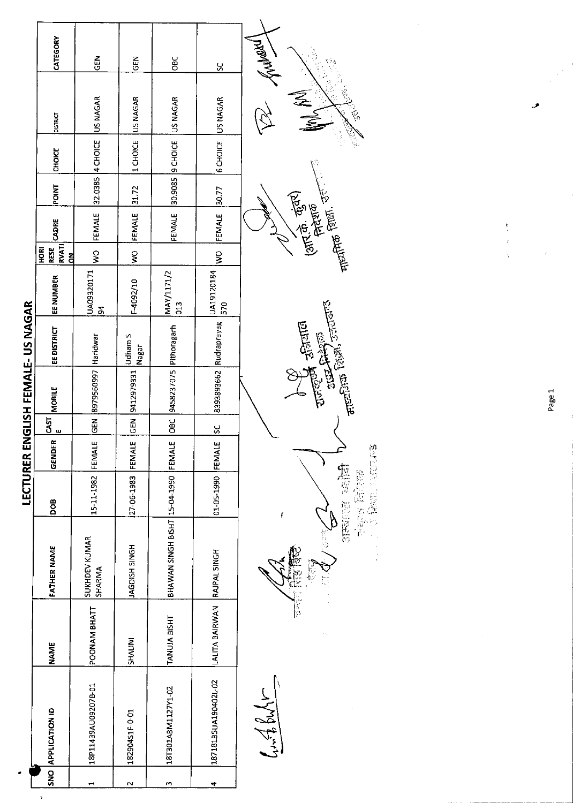|                                   | CATEGORY                                       | $\frac{2}{5}$                | <b>GEN</b>              | <b>SBC</b>                    | X                           |                                                                                                                                                                                                                                                                                                                                                                                                                                                                                                                                |
|-----------------------------------|------------------------------------------------|------------------------------|-------------------------|-------------------------------|-----------------------------|--------------------------------------------------------------------------------------------------------------------------------------------------------------------------------------------------------------------------------------------------------------------------------------------------------------------------------------------------------------------------------------------------------------------------------------------------------------------------------------------------------------------------------|
|                                   | <b>DISTRICT</b>                                | US NAGAR                     | US NAGAR                | US NAGAR                      | US NAGAR                    | ⋛                                                                                                                                                                                                                                                                                                                                                                                                                                                                                                                              |
|                                   | <b>CHOICE</b>                                  | 32.0385 4 CHOICE             | 1 CHOICE                | 30.9085 9 CHOICE              | 6 CHOICE                    |                                                                                                                                                                                                                                                                                                                                                                                                                                                                                                                                |
|                                   | <b>POINT</b>                                   |                              | 31.72                   |                               | 30.77                       |                                                                                                                                                                                                                                                                                                                                                                                                                                                                                                                                |
|                                   | CADRE                                          | FEMALE                       | FEMALE                  | FEMALE                        | FEMALE                      | $\frac{1}{2}$ (आर.के. कुंबर)<br>निदेशक<br>नायीनिक जिल्ला                                                                                                                                                                                                                                                                                                                                                                                                                                                                       |
|                                   | RESE<br>RVATI<br><b>RICH</b><br>$\overline{a}$ | $\frac{8}{2}$                | ş                       |                               | $\frac{1}{2}$               |                                                                                                                                                                                                                                                                                                                                                                                                                                                                                                                                |
|                                   | EE NUMBER                                      | UA09320171<br>$\overline{a}$ | F-4092/10               | MAY/1171/2<br>013             | UA19120184<br>570           |                                                                                                                                                                                                                                                                                                                                                                                                                                                                                                                                |
|                                   | <b>EE DISTRICT</b>                             |                              | <b>Udham S</b><br>Nagar |                               | 8393893662 Rudraprayag      | $\frac{\sqrt{12}}{\sqrt{12}}\sum_{n=1}^{n} \frac{1}{\sqrt{12}}\sum_{n=1}^{n} \frac{1}{\sqrt{12}}\sum_{n=1}^{n} \frac{1}{\sqrt{12}}\sum_{n=1}^{n} \frac{1}{\sqrt{12}}\sum_{n=1}^{n} \frac{1}{\sqrt{12}}\sum_{n=1}^{n} \frac{1}{\sqrt{12}}\sum_{n=1}^{n} \frac{1}{\sqrt{12}}\sum_{n=1}^{n} \frac{1}{\sqrt{12}}\sum_{n=1}^{n} \frac{1}{\sqrt{12}}\sum_{n=1}^{n} \frac{1}{\sqrt$<br>$\frac{1}{\sqrt{2}}\sum_{i=1}^{n} \frac{1}{\sqrt{2}}\left(\frac{1}{\sqrt{2}}\right)^{i} \frac{1}{\sqrt{2}}\left(\frac{1}{\sqrt{2}}\right)^{i}$ |
|                                   | <b>MOBILE</b>                                  | 8979560997 Haridwar          | 9412979331              | 9458237075 Pithoragarh        |                             |                                                                                                                                                                                                                                                                                                                                                                                                                                                                                                                                |
| LECTURER ENGLISH FEMALE- US NAGAR | CAST<br>ш                                      | <b>GEN</b>                   | 6EN                     | OBC                           | $\frac{5}{5}$               |                                                                                                                                                                                                                                                                                                                                                                                                                                                                                                                                |
|                                   | <b>GENDER</b>                                  | FEMALE                       | FEMALE                  | FEMALE                        |                             |                                                                                                                                                                                                                                                                                                                                                                                                                                                                                                                                |
|                                   | <b>Bod</b>                                     | 15-11-1982                   | 27-06-1983              |                               | 01-05-1990 FEMALE           | 要是出版社 三月九年<br>便等 把握的<br>協定の部門 哲学科                                                                                                                                                                                                                                                                                                                                                                                                                                                                                              |
|                                   | <b>FATHER NAME</b>                             | SUKHDEV KUMAR<br>SHARMA      | HONIS HSIQDAL           | BHAWAN SINGH BISHT 15-04-1990 |                             |                                                                                                                                                                                                                                                                                                                                                                                                                                                                                                                                |
|                                   | <b>NAME</b>                                    | POONAM BHATT                 | <b>SHALINI</b>          | TANUJA BISHT                  | LALITA BAIRWAN RAJPAL SINGH |                                                                                                                                                                                                                                                                                                                                                                                                                                                                                                                                |
|                                   | SNO APPLICATION ID                             | 18P11439AU09207B-01          | 18290451F-0-01          | 18T301ABM1127Y1-02            | 187181B5UA190402L-02        | $L + 48M$                                                                                                                                                                                                                                                                                                                                                                                                                                                                                                                      |
|                                   |                                                |                              | $\overline{\mathbf{r}}$ | m                             | 4                           |                                                                                                                                                                                                                                                                                                                                                                                                                                                                                                                                |

 $\ddot{\phantom{0}}$ 

Page 1

فزر

 $\begin{array}{c} \bullet \\ \bullet \\ \bullet \\ \bullet \end{array}$ 

 $\ddot{\cdot}$